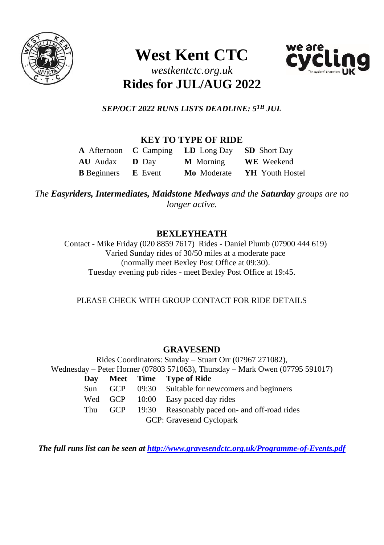

# **West Kent CTC**



# *westkentctc.org.uk* **Rides for JUL/AUG 2022**

*SEP/OCT 2022 RUNS LISTS DEADLINE: 5 TH JUL*

# **KEY TO TYPE OF RIDE**

|                                   | <b>A</b> Afternoon <b>C</b> Camping <b>LD</b> Long Day | <b>SD</b> Short Day    |
|-----------------------------------|--------------------------------------------------------|------------------------|
| <b>AU</b> Audax <b>D</b> Dav      | <b>M</b> Morning                                       | <b>WE</b> Weekend      |
| <b>B</b> Beginners <b>E</b> Event | Mo Moderate                                            | <b>YH</b> Youth Hostel |

*The Easyriders, Intermediates, Maidstone Medways and the Saturday groups are no longer active.*

# **BEXLEYHEATH**

Contact - Mike Friday (020 8859 7617) Rides - Daniel Plumb (07900 444 619) Varied Sunday rides of 30/50 miles at a moderate pace (normally meet Bexley Post Office at 09:30). Tuesday evening pub rides - meet Bexley Post Office at 19:45.

PLEASE CHECK WITH GROUP CONTACT FOR RIDE DETAILS

# **GRAVESEND**

Rides Coordinators: Sunday – Stuart Orr (07967 271082), Wednesday – Peter Horner (07803 571063), Thursday – Mark Owen (07795 591017) **Day Meet Time Type of Ride** Sun GCP 09:30 Suitable for newcomers and beginners Wed GCP 10:00 Easy paced day rides Thu GCP 19:30 Reasonably paced on- and off-road rides GCP: Gravesend Cyclopark

*The full runs list can be seen at<http://www.gravesendctc.org.uk/Programme-of-Events.pdf>*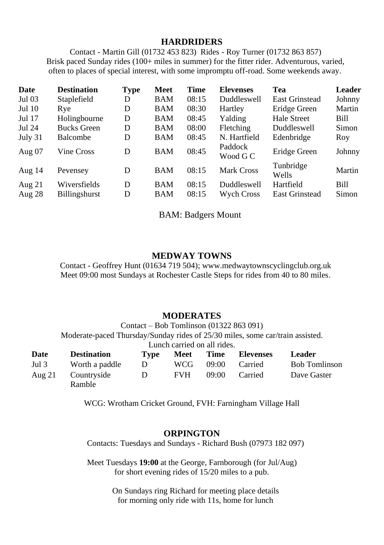#### **HARDRIDERS**

Contact - Martin Gill (01732 453 823) Rides - Roy Turner (01732 863 857) Brisk paced Sunday rides (100+ miles in summer) for the fitter rider. Adventurous, varied, often to places of special interest, with some impromptu off-road. Some weekends away.

| Date     | <b>Destination</b> | <b>Type</b> | Meet       | Time  | <b>Elevenses</b>    | Tea                | Leader |
|----------|--------------------|-------------|------------|-------|---------------------|--------------------|--------|
| Jul 03   | Staplefield        | D           | BAM        | 08:15 | <b>Duddleswell</b>  | East Grinstead     | Johnny |
| Jul 10   | Rye                | D           | BAM        | 08:30 | Hartley             | Eridge Green       | Martin |
| Jul 17   | Holingbourne       | D           | BAM        | 08:45 | Yalding             | Hale Street        | Bill   |
| Jul 24   | <b>Bucks Green</b> | D           | BAM        | 08:00 | Fletching           | Duddleswell        | Simon  |
| July 31  | <b>Balcombe</b>    | D           | BAM        | 08:45 | N. Hartfield        | Edenbridge         | Roy    |
| Aug $07$ | Vine Cross         | D           | <b>BAM</b> | 08:45 | Paddock<br>Wood G C | Eridge Green       | Johnny |
| Aug $14$ | Pevensey           | D           | <b>BAM</b> | 08:15 | <b>Mark Cross</b>   | Tunbridge<br>Wells | Martin |
| Aug $21$ | Wiversfields       | D           | BAM        | 08:15 | Duddleswell         | Hartfield          | Bill   |
| Aug $28$ | Billingshurst      | D           | <b>BAM</b> | 08:15 | <b>Wych Cross</b>   | East Grinstead     | Simon  |

BAM: Badgers Mount

#### **MEDWAY TOWNS**

Contact - Geoffrey Hunt (01634 719 504); www.medwaytownscyclingclub.org.uk Meet 09:00 most Sundays at Rochester Castle Steps for rides from 40 to 80 miles.

#### **MODERATES**

Contact – Bob Tomlinson (01322 863 091) Moderate-paced Thursday/Sunday rides of 25/30 miles, some car/train assisted.

Lunch carried on all rides.

| Date   | <b>Destination</b>    | Type | Meet       | Time  | Elevenses | <b>Leader</b>        |
|--------|-----------------------|------|------------|-------|-----------|----------------------|
| Jul 3  | Worth a paddle        | D    | WCG        | 09:00 | Carried   | <b>Bob Tomlinson</b> |
| Aug 21 | Countryside<br>Ramble | D    | <b>FVH</b> | 09:00 | Carried   | Dave Gaster          |
|        |                       |      |            |       |           |                      |

WCG: Wrotham Cricket Ground, FVH: Farningham Village Hall

#### **ORPINGTON**

Contacts: Tuesdays and Sundays - Richard Bush (07973 182 097)

Meet Tuesdays **19:00** at the George, Farnborough (for Jul/Aug) for short evening rides of 15/20 miles to a pub.

> On Sundays ring Richard for meeting place details for morning only ride with 11s, home for lunch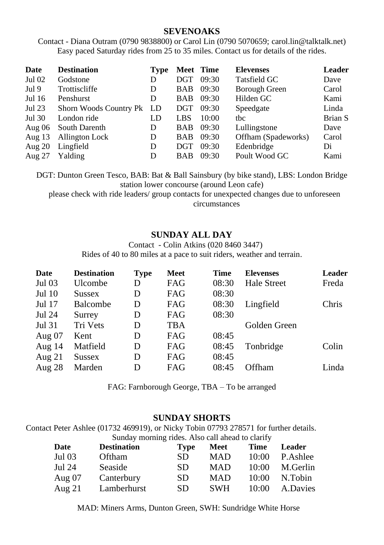#### **SEVENOAKS**

Contact - Diana Outram (0790 9838800) or Carol Lin (0790 5070659; carol.lin@talktalk.net) Easy paced Saturday rides from 25 to 35 miles. Contact us for details of the rides.

| Date     | <b>Destination</b>            | <b>Type</b> |            | Meet Time | <b>Elevenses</b>     | Leader  |
|----------|-------------------------------|-------------|------------|-----------|----------------------|---------|
| Jul 02   | Godstone                      | D           | <b>DGT</b> | 09:30     | Tatsfield GC         | Dave    |
| Jul 9    | Trottiscliffe                 | D           | <b>BAB</b> | 09:30     | <b>Borough Green</b> | Carol   |
| Jul 16   | Penshurst                     | D           | <b>BAB</b> | 09:30     | Hilden GC            | Kami    |
| Jul 23   | <b>Shorn Woods Country Pk</b> | LD          | DGT        | 09:30     | Speedgate            | Linda   |
| Jul 30   | London ride                   | LD          | LBS        | 10:00     | thc                  | Brian S |
| Aug $06$ | South Darenth                 | D           | BAB        | 09:30     | Lullingstone         | Dave    |
| Aug $13$ | Allington Lock                | D           | BAB        | 09:30     | Offham (Spadeworks)  | Carol   |
| Aug $20$ | Lingfield                     | D           | <b>DGT</b> | 09:30     | Edenbridge           | Di      |
| Aug $27$ | Yalding                       | D           | <b>BAB</b> | 09:30     | Poult Wood GC        | Kami    |

DGT: Dunton Green Tesco, BAB: Bat & Ball Sainsbury (by bike stand), LBS: London Bridge station lower concourse (around Leon cafe)

please check with ride leaders/ group contacts for unexpected changes due to unforeseen circumstances

### **SUNDAY ALL DAY**

Contact - Colin Atkins (020 8460 3447)

Rides of 40 to 80 miles at a pace to suit riders, weather and terrain.

| <b>Destination</b> | <b>Type</b> | Meet | Time  | <b>Elevenses</b>   | Leader |
|--------------------|-------------|------|-------|--------------------|--------|
| Ulcombe            | D           | FAG  | 08:30 | <b>Hale Street</b> | Freda  |
| <b>Sussex</b>      | D           | FAG  | 08:30 |                    |        |
| <b>Balcombe</b>    | D           | FAG  | 08:30 | Lingfield          | Chris  |
| Surrey             | D           | FAG  | 08:30 |                    |        |
| Tri Vets           | D           | TBA  |       | Golden Green       |        |
| Kent               | D           | FAG  | 08:45 |                    |        |
| Matfield           | D           | FAG  | 08:45 | Tonbridge          | Colin  |
| <b>Sussex</b>      | D           | FAG  | 08:45 |                    |        |
| Marden             | D           | FAG  | 08:45 | Offham             | Linda  |
|                    |             |      |       |                    |        |

FAG: Farnborough George, TBA – To be arranged

#### **SUNDAY SHORTS**

Contact Peter Ashlee (01732 469919), or Nicky Tobin 07793 278571 for further details. Sunday morning rides. Also call ahead to clarify

| Date     | <b>Destination</b> | Type | Meet       | Time  | Leader   |
|----------|--------------------|------|------------|-------|----------|
| Jul 03   | <b>Oftham</b>      | SD.  | <b>MAD</b> | 10:00 | P.Ashlee |
| Jul 24   | Seaside            | SD.  | <b>MAD</b> | 10:00 | M.Gerlin |
| Aug $07$ | Canterbury         | SD.  | <b>MAD</b> | 10:00 | N.Tobin  |
| Aug $21$ | Lamberhurst        | SD.  | <b>SWH</b> | 10:00 | A.Davies |

MAD: Miners Arms, Dunton Green, SWH: Sundridge White Horse